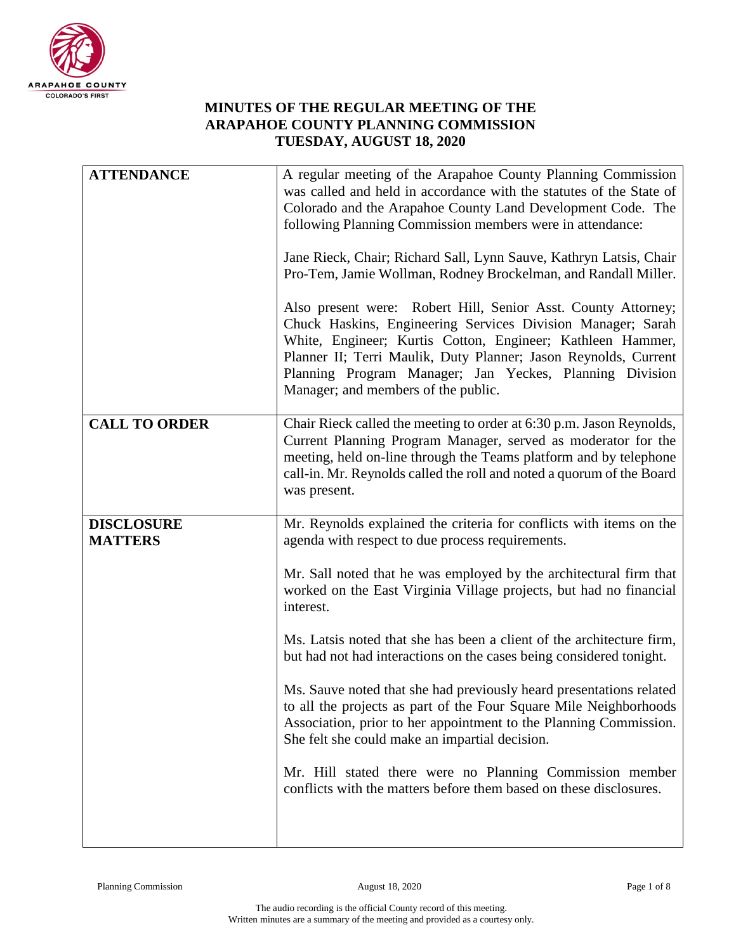

## **MINUTES OF THE REGULAR MEETING OF THE ARAPAHOE COUNTY PLANNING COMMISSION TUESDAY, AUGUST 18, 2020**

| <b>ATTENDANCE</b>                   | A regular meeting of the Arapahoe County Planning Commission<br>was called and held in accordance with the statutes of the State of<br>Colorado and the Arapahoe County Land Development Code. The<br>following Planning Commission members were in attendance:<br>Jane Rieck, Chair; Richard Sall, Lynn Sauve, Kathryn Latsis, Chair<br>Pro-Tem, Jamie Wollman, Rodney Brockelman, and Randall Miller.<br>Also present were: Robert Hill, Senior Asst. County Attorney;<br>Chuck Haskins, Engineering Services Division Manager; Sarah<br>White, Engineer; Kurtis Cotton, Engineer; Kathleen Hammer,<br>Planner II; Terri Maulik, Duty Planner; Jason Reynolds, Current<br>Planning Program Manager; Jan Yeckes, Planning Division<br>Manager; and members of the public.                                                            |
|-------------------------------------|---------------------------------------------------------------------------------------------------------------------------------------------------------------------------------------------------------------------------------------------------------------------------------------------------------------------------------------------------------------------------------------------------------------------------------------------------------------------------------------------------------------------------------------------------------------------------------------------------------------------------------------------------------------------------------------------------------------------------------------------------------------------------------------------------------------------------------------|
| <b>CALL TO ORDER</b>                | Chair Rieck called the meeting to order at 6:30 p.m. Jason Reynolds,<br>Current Planning Program Manager, served as moderator for the<br>meeting, held on-line through the Teams platform and by telephone<br>call-in. Mr. Reynolds called the roll and noted a quorum of the Board<br>was present.                                                                                                                                                                                                                                                                                                                                                                                                                                                                                                                                   |
| <b>DISCLOSURE</b><br><b>MATTERS</b> | Mr. Reynolds explained the criteria for conflicts with items on the<br>agenda with respect to due process requirements.<br>Mr. Sall noted that he was employed by the architectural firm that<br>worked on the East Virginia Village projects, but had no financial<br>interest.<br>Ms. Latsis noted that she has been a client of the architecture firm,<br>but had not had interactions on the cases being considered tonight.<br>Ms. Sauve noted that she had previously heard presentations related<br>to all the projects as part of the Four Square Mile Neighborhoods<br>Association, prior to her appointment to the Planning Commission.<br>She felt she could make an impartial decision.<br>Mr. Hill stated there were no Planning Commission member<br>conflicts with the matters before them based on these disclosures. |
|                                     |                                                                                                                                                                                                                                                                                                                                                                                                                                                                                                                                                                                                                                                                                                                                                                                                                                       |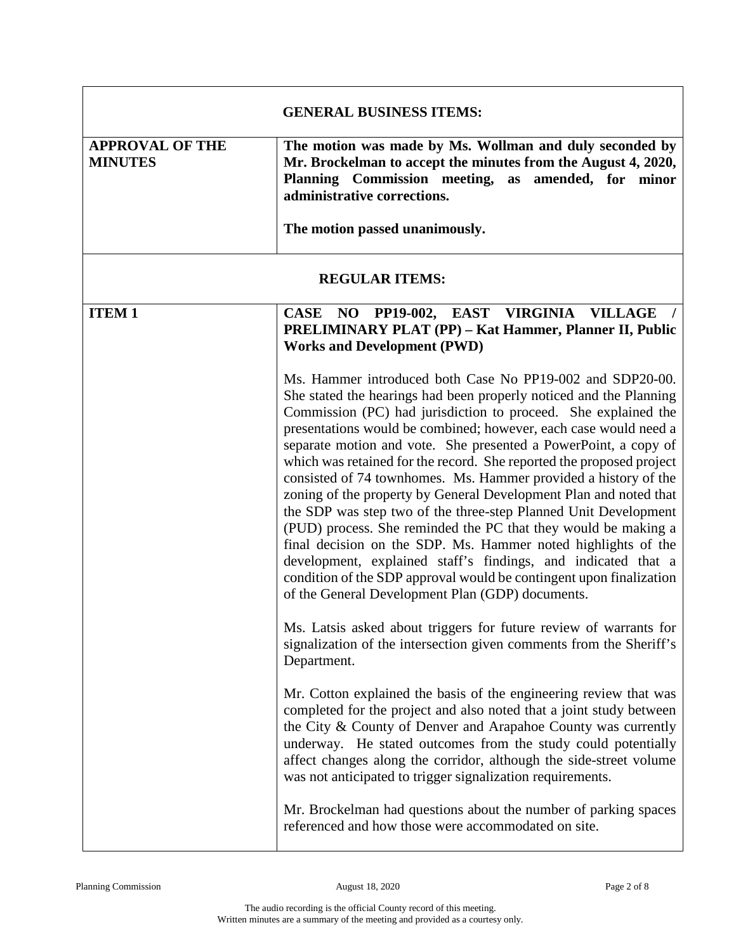| <b>GENERAL BUSINESS ITEMS:</b>           |                                                                                                                                                                                                                                                                                                                                                                                                                                                                                                                                                                                                                                                                                                                                                                                                                                                                                                                                                            |
|------------------------------------------|------------------------------------------------------------------------------------------------------------------------------------------------------------------------------------------------------------------------------------------------------------------------------------------------------------------------------------------------------------------------------------------------------------------------------------------------------------------------------------------------------------------------------------------------------------------------------------------------------------------------------------------------------------------------------------------------------------------------------------------------------------------------------------------------------------------------------------------------------------------------------------------------------------------------------------------------------------|
| <b>APPROVAL OF THE</b><br><b>MINUTES</b> | The motion was made by Ms. Wollman and duly seconded by<br>Mr. Brockelman to accept the minutes from the August 4, 2020,<br>Planning Commission meeting, as amended, for minor<br>administrative corrections.<br>The motion passed unanimously.                                                                                                                                                                                                                                                                                                                                                                                                                                                                                                                                                                                                                                                                                                            |
|                                          |                                                                                                                                                                                                                                                                                                                                                                                                                                                                                                                                                                                                                                                                                                                                                                                                                                                                                                                                                            |
| <b>REGULAR ITEMS:</b>                    |                                                                                                                                                                                                                                                                                                                                                                                                                                                                                                                                                                                                                                                                                                                                                                                                                                                                                                                                                            |
| <b>ITEM1</b>                             | CASE NO PP19-002, EAST VIRGINIA<br><b>VILLAGE</b><br>PRELIMINARY PLAT (PP) - Kat Hammer, Planner II, Public<br><b>Works and Development (PWD)</b>                                                                                                                                                                                                                                                                                                                                                                                                                                                                                                                                                                                                                                                                                                                                                                                                          |
|                                          | Ms. Hammer introduced both Case No PP19-002 and SDP20-00.<br>She stated the hearings had been properly noticed and the Planning<br>Commission (PC) had jurisdiction to proceed. She explained the<br>presentations would be combined; however, each case would need a<br>separate motion and vote. She presented a PowerPoint, a copy of<br>which was retained for the record. She reported the proposed project<br>consisted of 74 townhomes. Ms. Hammer provided a history of the<br>zoning of the property by General Development Plan and noted that<br>the SDP was step two of the three-step Planned Unit Development<br>(PUD) process. She reminded the PC that they would be making a<br>final decision on the SDP. Ms. Hammer noted highlights of the<br>development, explained staff's findings, and indicated that a<br>condition of the SDP approval would be contingent upon finalization<br>of the General Development Plan (GDP) documents. |
|                                          | Ms. Latsis asked about triggers for future review of warrants for<br>signalization of the intersection given comments from the Sheriff's<br>Department.                                                                                                                                                                                                                                                                                                                                                                                                                                                                                                                                                                                                                                                                                                                                                                                                    |
|                                          | Mr. Cotton explained the basis of the engineering review that was<br>completed for the project and also noted that a joint study between<br>the City & County of Denver and Arapahoe County was currently<br>underway. He stated outcomes from the study could potentially<br>affect changes along the corridor, although the side-street volume<br>was not anticipated to trigger signalization requirements.                                                                                                                                                                                                                                                                                                                                                                                                                                                                                                                                             |
|                                          | Mr. Brockelman had questions about the number of parking spaces<br>referenced and how those were accommodated on site.                                                                                                                                                                                                                                                                                                                                                                                                                                                                                                                                                                                                                                                                                                                                                                                                                                     |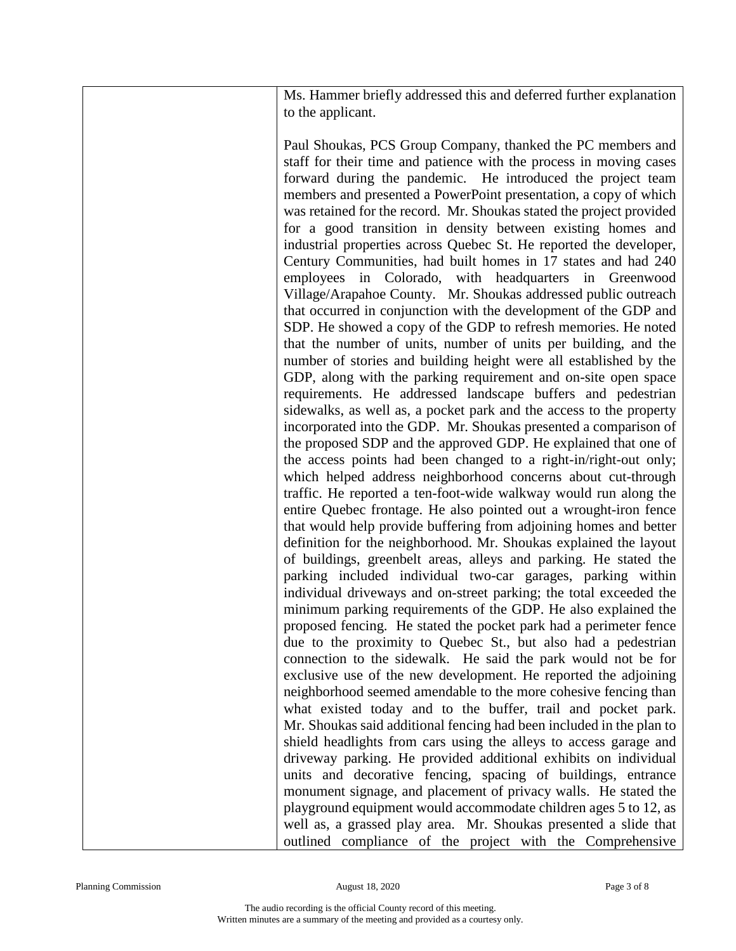Ms. Hammer briefly addressed this and deferred further explanation to the applicant.

Paul Shoukas, PCS Group Company, thanked the PC members and staff for their time and patience with the process in moving cases forward during the pandemic. He introduced the project team members and presented a PowerPoint presentation, a copy of which was retained for the record. Mr. Shoukas stated the project provided for a good transition in density between existing homes and industrial properties across Quebec St. He reported the developer, Century Communities, had built homes in 17 states and had 240 employees in Colorado, with headquarters in Greenwood Village/Arapahoe County. Mr. Shoukas addressed public outreach that occurred in conjunction with the development of the GDP and SDP. He showed a copy of the GDP to refresh memories. He noted that the number of units, number of units per building, and the number of stories and building height were all established by the GDP, along with the parking requirement and on-site open space requirements. He addressed landscape buffers and pedestrian sidewalks, as well as, a pocket park and the access to the property incorporated into the GDP. Mr. Shoukas presented a comparison of the proposed SDP and the approved GDP. He explained that one of the access points had been changed to a right-in/right-out only; which helped address neighborhood concerns about cut-through traffic. He reported a ten-foot-wide walkway would run along the entire Quebec frontage. He also pointed out a wrought-iron fence that would help provide buffering from adjoining homes and better definition for the neighborhood. Mr. Shoukas explained the layout of buildings, greenbelt areas, alleys and parking. He stated the parking included individual two-car garages, parking within individual driveways and on-street parking; the total exceeded the minimum parking requirements of the GDP. He also explained the proposed fencing. He stated the pocket park had a perimeter fence due to the proximity to Quebec St., but also had a pedestrian connection to the sidewalk. He said the park would not be for exclusive use of the new development. He reported the adjoining neighborhood seemed amendable to the more cohesive fencing than what existed today and to the buffer, trail and pocket park. Mr. Shoukas said additional fencing had been included in the plan to shield headlights from cars using the alleys to access garage and driveway parking. He provided additional exhibits on individual units and decorative fencing, spacing of buildings, entrance monument signage, and placement of privacy walls. He stated the playground equipment would accommodate children ages 5 to 12, as well as, a grassed play area. Mr. Shoukas presented a slide that outlined compliance of the project with the Comprehensive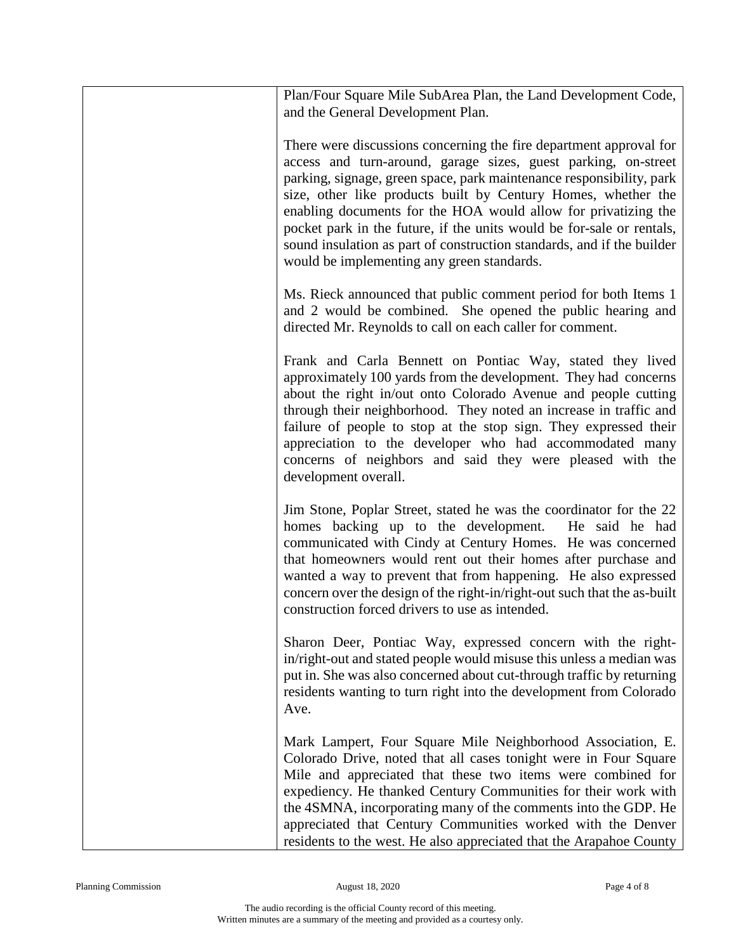| Plan/Four Square Mile SubArea Plan, the Land Development Code,<br>and the General Development Plan.                                                                                                                                                                                                                                                                                                                                                                                                                                              |
|--------------------------------------------------------------------------------------------------------------------------------------------------------------------------------------------------------------------------------------------------------------------------------------------------------------------------------------------------------------------------------------------------------------------------------------------------------------------------------------------------------------------------------------------------|
| There were discussions concerning the fire department approval for<br>access and turn-around, garage sizes, guest parking, on-street<br>parking, signage, green space, park maintenance responsibility, park<br>size, other like products built by Century Homes, whether the<br>enabling documents for the HOA would allow for privatizing the<br>pocket park in the future, if the units would be for-sale or rentals,<br>sound insulation as part of construction standards, and if the builder<br>would be implementing any green standards. |
| Ms. Rieck announced that public comment period for both Items 1<br>and 2 would be combined. She opened the public hearing and<br>directed Mr. Reynolds to call on each caller for comment.                                                                                                                                                                                                                                                                                                                                                       |
| Frank and Carla Bennett on Pontiac Way, stated they lived<br>approximately 100 yards from the development. They had concerns<br>about the right in/out onto Colorado Avenue and people cutting<br>through their neighborhood. They noted an increase in traffic and<br>failure of people to stop at the stop sign. They expressed their<br>appreciation to the developer who had accommodated many<br>concerns of neighbors and said they were pleased with the<br>development overall.                                                          |
| Jim Stone, Poplar Street, stated he was the coordinator for the 22<br>homes backing up to the development.<br>He said he had<br>communicated with Cindy at Century Homes. He was concerned<br>that homeowners would rent out their homes after purchase and<br>wanted a way to prevent that from happening. He also expressed<br>concern over the design of the right-in/right-out such that the as-built<br>construction forced drivers to use as intended.                                                                                     |
| Sharon Deer, Pontiac Way, expressed concern with the right-<br>in/right-out and stated people would misuse this unless a median was<br>put in. She was also concerned about cut-through traffic by returning<br>residents wanting to turn right into the development from Colorado<br>Ave.                                                                                                                                                                                                                                                       |
| Mark Lampert, Four Square Mile Neighborhood Association, E.<br>Colorado Drive, noted that all cases tonight were in Four Square<br>Mile and appreciated that these two items were combined for<br>expediency. He thanked Century Communities for their work with<br>the 4SMNA, incorporating many of the comments into the GDP. He<br>appreciated that Century Communities worked with the Denver<br>residents to the west. He also appreciated that the Arapahoe County                                                                         |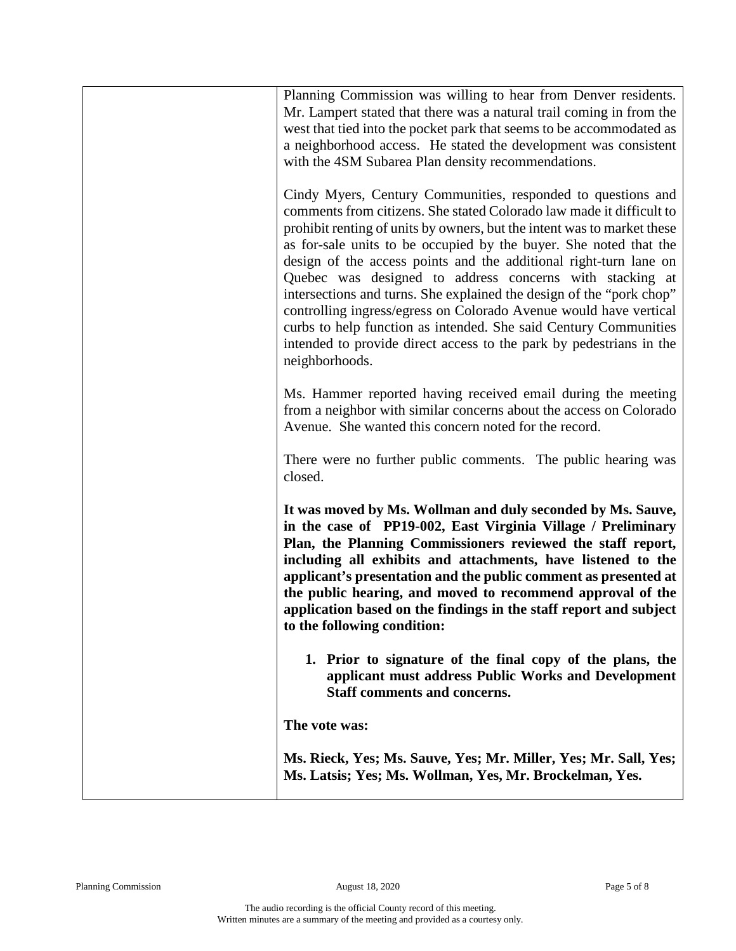| Planning Commission was willing to hear from Denver residents.                                                                |
|-------------------------------------------------------------------------------------------------------------------------------|
| Mr. Lampert stated that there was a natural trail coming in from the                                                          |
| west that tied into the pocket park that seems to be accommodated as                                                          |
| a neighborhood access. He stated the development was consistent                                                               |
| with the 4SM Subarea Plan density recommendations.                                                                            |
|                                                                                                                               |
| Cindy Myers, Century Communities, responded to questions and                                                                  |
| comments from citizens. She stated Colorado law made it difficult to                                                          |
| prohibit renting of units by owners, but the intent was to market these                                                       |
| as for-sale units to be occupied by the buyer. She noted that the                                                             |
| design of the access points and the additional right-turn lane on<br>Quebec was designed to address concerns with stacking at |
| intersections and turns. She explained the design of the "pork chop"                                                          |
| controlling ingress/egress on Colorado Avenue would have vertical                                                             |
| curbs to help function as intended. She said Century Communities                                                              |
| intended to provide direct access to the park by pedestrians in the                                                           |
| neighborhoods.                                                                                                                |
|                                                                                                                               |
| Ms. Hammer reported having received email during the meeting                                                                  |
| from a neighbor with similar concerns about the access on Colorado                                                            |
| Avenue. She wanted this concern noted for the record.                                                                         |
| There were no further public comments. The public hearing was                                                                 |
| closed.                                                                                                                       |
|                                                                                                                               |
| It was moved by Ms. Wollman and duly seconded by Ms. Sauve,                                                                   |
| in the case of PP19-002, East Virginia Village / Preliminary                                                                  |
| Plan, the Planning Commissioners reviewed the staff report,                                                                   |
| including all exhibits and attachments, have listened to the                                                                  |
| applicant's presentation and the public comment as presented at                                                               |
| the public hearing, and moved to recommend approval of the                                                                    |
| application based on the findings in the staff report and subject                                                             |
| to the following condition:                                                                                                   |
| 1. Prior to signature of the final copy of the plans, the                                                                     |
| applicant must address Public Works and Development                                                                           |
| <b>Staff comments and concerns.</b>                                                                                           |
|                                                                                                                               |
| The vote was:                                                                                                                 |
| Ms. Rieck, Yes; Ms. Sauve, Yes; Mr. Miller, Yes; Mr. Sall, Yes;                                                               |
| Ms. Latsis; Yes; Ms. Wollman, Yes, Mr. Brockelman, Yes.                                                                       |
|                                                                                                                               |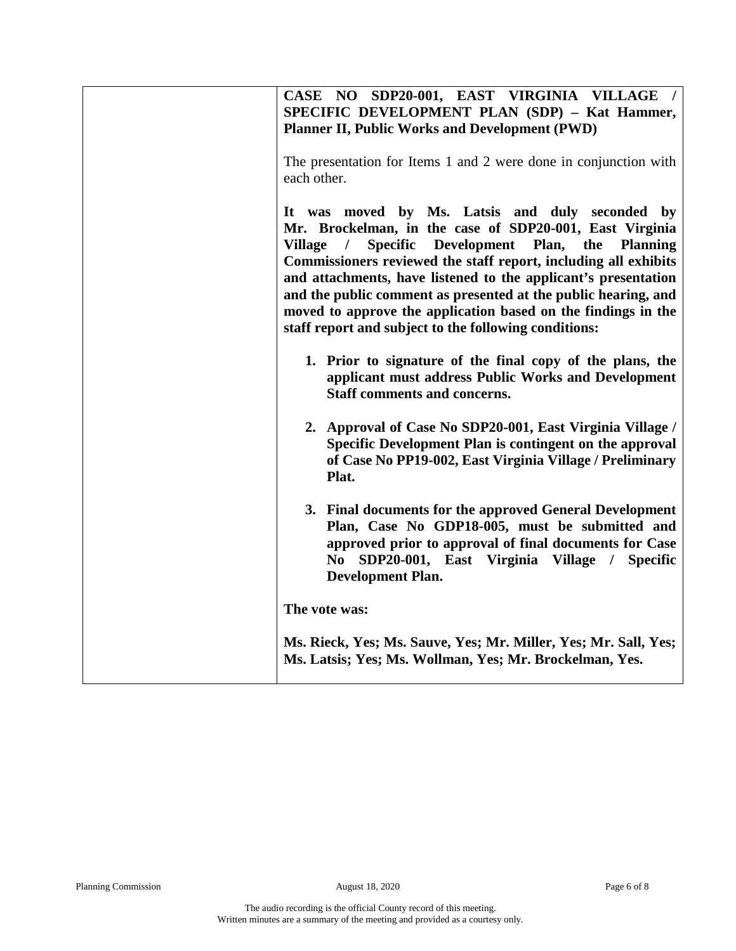| CASE NO SDP20-001, EAST VIRGINIA VILLAGE /<br>SPECIFIC DEVELOPMENT PLAN (SDP) - Kat Hammer,<br><b>Planner II, Public Works and Development (PWD)</b><br>The presentation for Items 1 and 2 were done in conjunction with<br>each other.                                                                                                                                                                                                                                                                                                        |
|------------------------------------------------------------------------------------------------------------------------------------------------------------------------------------------------------------------------------------------------------------------------------------------------------------------------------------------------------------------------------------------------------------------------------------------------------------------------------------------------------------------------------------------------|
| It was moved by Ms. Latsis and duly seconded by<br>Mr. Brockelman, in the case of SDP20-001, East Virginia<br><b>Specific</b><br>Development<br><b>Village</b><br>Plan,<br>the<br><b>Planning</b><br>$\prime$<br>Commissioners reviewed the staff report, including all exhibits<br>and attachments, have listened to the applicant's presentation<br>and the public comment as presented at the public hearing, and<br>moved to approve the application based on the findings in the<br>staff report and subject to the following conditions: |
| 1. Prior to signature of the final copy of the plans, the<br>applicant must address Public Works and Development<br>Staff comments and concerns.                                                                                                                                                                                                                                                                                                                                                                                               |
| 2. Approval of Case No SDP20-001, East Virginia Village /<br>Specific Development Plan is contingent on the approval<br>of Case No PP19-002, East Virginia Village / Preliminary<br>Plat.                                                                                                                                                                                                                                                                                                                                                      |
| 3. Final documents for the approved General Development<br>Plan, Case No GDP18-005, must be submitted and<br>approved prior to approval of final documents for Case<br>No SDP20-001, East Virginia Village / Specific<br><b>Development Plan.</b>                                                                                                                                                                                                                                                                                              |
| The vote was:                                                                                                                                                                                                                                                                                                                                                                                                                                                                                                                                  |
| Ms. Rieck, Yes; Ms. Sauve, Yes; Mr. Miller, Yes; Mr. Sall, Yes;<br>Ms. Latsis; Yes; Ms. Wollman, Yes; Mr. Brockelman, Yes.                                                                                                                                                                                                                                                                                                                                                                                                                     |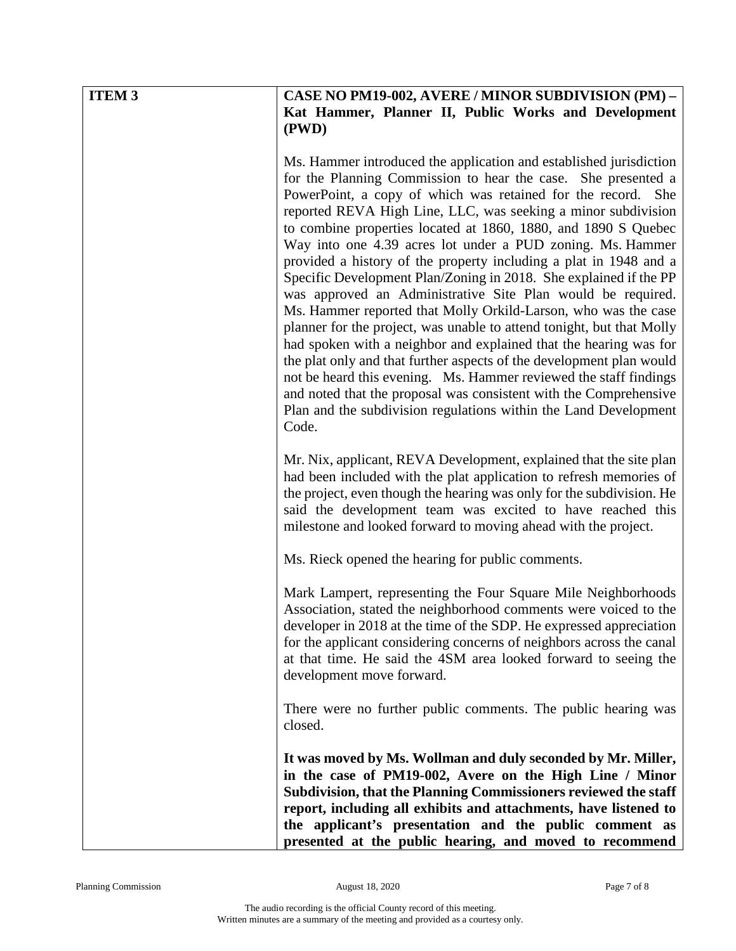| <b>ITEM 3</b> | <b>CASE NO PM19-002, AVERE / MINOR SUBDIVISION (PM) -</b>                                                                                                                                                                                                                                                                                                                                                                                                                                                                                                                                                                                                                                                                                                                                                                                                                                                                                                                                                                                                                                                                    |
|---------------|------------------------------------------------------------------------------------------------------------------------------------------------------------------------------------------------------------------------------------------------------------------------------------------------------------------------------------------------------------------------------------------------------------------------------------------------------------------------------------------------------------------------------------------------------------------------------------------------------------------------------------------------------------------------------------------------------------------------------------------------------------------------------------------------------------------------------------------------------------------------------------------------------------------------------------------------------------------------------------------------------------------------------------------------------------------------------------------------------------------------------|
|               | Kat Hammer, Planner II, Public Works and Development<br>(PWD)                                                                                                                                                                                                                                                                                                                                                                                                                                                                                                                                                                                                                                                                                                                                                                                                                                                                                                                                                                                                                                                                |
|               |                                                                                                                                                                                                                                                                                                                                                                                                                                                                                                                                                                                                                                                                                                                                                                                                                                                                                                                                                                                                                                                                                                                              |
|               | Ms. Hammer introduced the application and established jurisdiction<br>for the Planning Commission to hear the case. She presented a<br>PowerPoint, a copy of which was retained for the record. She<br>reported REVA High Line, LLC, was seeking a minor subdivision<br>to combine properties located at 1860, 1880, and 1890 S Quebec<br>Way into one 4.39 acres lot under a PUD zoning. Ms. Hammer<br>provided a history of the property including a plat in 1948 and a<br>Specific Development Plan/Zoning in 2018. She explained if the PP<br>was approved an Administrative Site Plan would be required.<br>Ms. Hammer reported that Molly Orkild-Larson, who was the case<br>planner for the project, was unable to attend tonight, but that Molly<br>had spoken with a neighbor and explained that the hearing was for<br>the plat only and that further aspects of the development plan would<br>not be heard this evening. Ms. Hammer reviewed the staff findings<br>and noted that the proposal was consistent with the Comprehensive<br>Plan and the subdivision regulations within the Land Development<br>Code. |
|               | Mr. Nix, applicant, REVA Development, explained that the site plan<br>had been included with the plat application to refresh memories of<br>the project, even though the hearing was only for the subdivision. He<br>said the development team was excited to have reached this<br>milestone and looked forward to moving ahead with the project.                                                                                                                                                                                                                                                                                                                                                                                                                                                                                                                                                                                                                                                                                                                                                                            |
|               | Ms. Rieck opened the hearing for public comments.                                                                                                                                                                                                                                                                                                                                                                                                                                                                                                                                                                                                                                                                                                                                                                                                                                                                                                                                                                                                                                                                            |
|               | Mark Lampert, representing the Four Square Mile Neighborhoods<br>Association, stated the neighborhood comments were voiced to the<br>developer in 2018 at the time of the SDP. He expressed appreciation<br>for the applicant considering concerns of neighbors across the canal<br>at that time. He said the 4SM area looked forward to seeing the<br>development move forward.                                                                                                                                                                                                                                                                                                                                                                                                                                                                                                                                                                                                                                                                                                                                             |
|               | There were no further public comments. The public hearing was<br>closed.                                                                                                                                                                                                                                                                                                                                                                                                                                                                                                                                                                                                                                                                                                                                                                                                                                                                                                                                                                                                                                                     |
|               | It was moved by Ms. Wollman and duly seconded by Mr. Miller,<br>in the case of PM19-002, Avere on the High Line / Minor<br>Subdivision, that the Planning Commissioners reviewed the staff<br>report, including all exhibits and attachments, have listened to<br>the applicant's presentation and the public comment as<br>presented at the public hearing, and moved to recommend                                                                                                                                                                                                                                                                                                                                                                                                                                                                                                                                                                                                                                                                                                                                          |